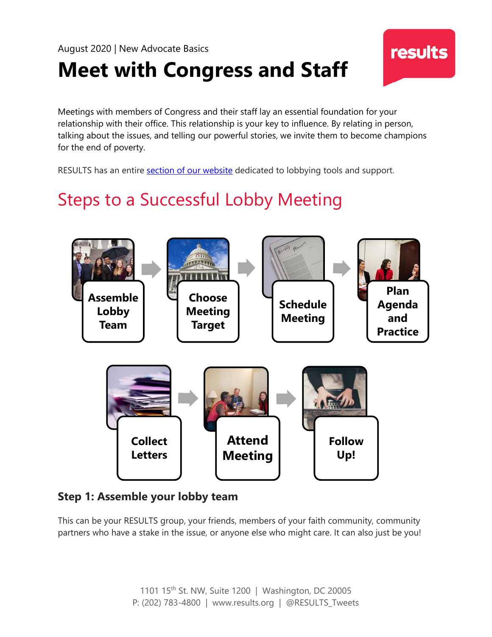# **Meet with Congress and Staff**

Meetings with members of Congress and their staff lay an essential foundation for your relationship with their office. This relationship is your key to influence. By relating in person, talking about the issues, and telling our powerful stories, we invite them to become champions for the end of poverty.

RESULTS has an entire [section of our website](https://results.org/volunteers/lobbying/) dedicated to lobbying tools and support.

## Steps to a Successful Lobby Meeting



#### **Step 1: Assemble your lobby team**

This can be your RESULTS group, your friends, members of your faith community, community partners who have a stake in the issue, or anyone else who might care. It can also just be you!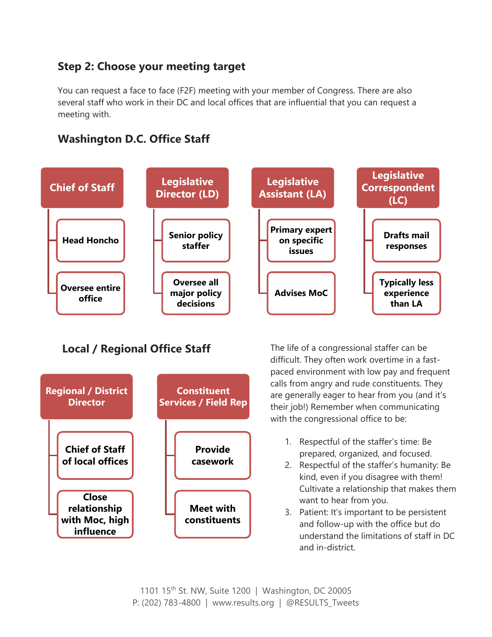## **Step 2: Choose your meeting target**

You can request a face to face (F2F) meeting with your member of Congress. There are also several staff who work in their DC and local offices that are influential that you can request a meeting with.



## **Washington D.C. Office Staff**

### **Local / Regional Office Staff**



The life of a congressional staffer can be difficult. They often work overtime in a fastpaced environment with low pay and frequent calls from angry and rude constituents. They are generally eager to hear from you (and it's their job!) Remember when communicating with the congressional office to be:

- 1. Respectful of the staffer's time: Be prepared, organized, and focused.
- 2. Respectful of the staffer's humanity: Be kind, even if you disagree with them! Cultivate a relationship that makes them want to hear from you.
- 3. Patient: It's important to be persistent and follow-up with the office but do understand the limitations of staff in DC and in-district.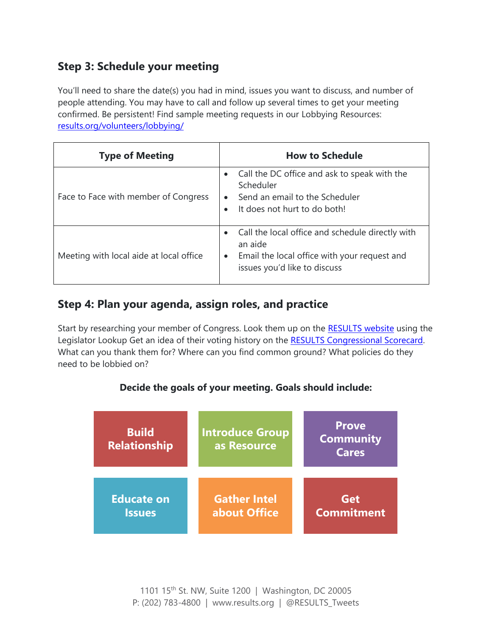## **Step 3: Schedule your meeting**

You'll need to share the date(s) you had in mind, issues you want to discuss, and number of people attending. You may have to call and follow up several times to get your meeting confirmed. Be persistent! Find sample meeting requests in our Lobbying Resources: [results.org/volunteers/lobbying/](https://results.org/volunteers/lobbying/)

| <b>Type of Meeting</b>                  | <b>How to Schedule</b>                                                                                                                                   |
|-----------------------------------------|----------------------------------------------------------------------------------------------------------------------------------------------------------|
| Face to Face with member of Congress    | Call the DC office and ask to speak with the<br>Scheduler<br>Send an email to the Scheduler<br>$\bullet$<br>It does not hurt to do both!                 |
| Meeting with local aide at local office | Call the local office and schedule directly with<br>an aide<br>Email the local office with your request and<br>$\bullet$<br>issues you'd like to discuss |

## **Step 4: Plan your agenda, assign roles, and practice**

Start by researching your member of Congress. Look them up on the [RESULTS website](https://results.org/volunteers/action-center/legislator-lookup/?vvsrc=%2fAddress) using the Legislator Lookup Get an idea of their voting history on the [RESULTS Congressional Scorecard.](https://results.org/volunteers/congressional-scorecard/) What can you thank them for? Where can you find common ground? What policies do they need to be lobbied on?

#### **Decide the goals of your meeting. Goals should include:**

| <b>Build</b><br><b>Relationship</b> | <b>Introduce Group</b><br>as Resource | <b>Prove</b><br><b>Community</b><br><b>Cares</b> |
|-------------------------------------|---------------------------------------|--------------------------------------------------|
| <b>Educate on</b>                   | <b>Gather Intel</b>                   | Get                                              |
| <b>Issues</b>                       | about Office                          | <b>Commitment</b>                                |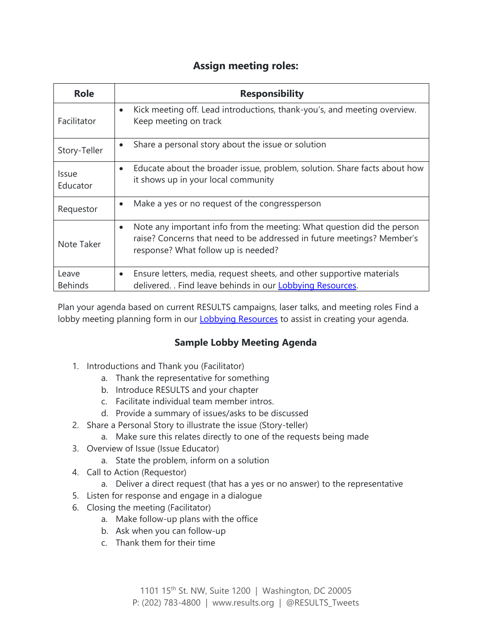#### **Assign meeting roles:**

| <b>Role</b>       | <b>Responsibility</b>                                                                                                                                                                                |
|-------------------|------------------------------------------------------------------------------------------------------------------------------------------------------------------------------------------------------|
| Facilitator       | Kick meeting off. Lead introductions, thank-you's, and meeting overview.<br>$\bullet$<br>Keep meeting on track                                                                                       |
| Story-Teller      | Share a personal story about the issue or solution<br>$\bullet$                                                                                                                                      |
| Issue<br>Educator | Educate about the broader issue, problem, solution. Share facts about how<br>$\bullet$<br>it shows up in your local community                                                                        |
| Requestor         | Make a yes or no request of the congressperson<br>$\bullet$                                                                                                                                          |
| Note Taker        | Note any important info from the meeting: What question did the person<br>$\bullet$<br>raise? Concerns that need to be addressed in future meetings? Member's<br>response? What follow up is needed? |
| Leave             | Ensure letters, media, request sheets, and other supportive materials<br>$\bullet$                                                                                                                   |
| <b>Behinds</b>    | delivered. . Find leave behinds in our Lobbying Resources.                                                                                                                                           |

Plan your agenda based on current RESULTS campaigns, laser talks, and meeting roles Find a lobby meeting planning form in our **Lobbying Resources** to assist in creating your agenda.

#### **Sample Lobby Meeting Agenda**

- 1. Introductions and Thank you (Facilitator)
	- a. Thank the representative for something
	- b. Introduce RESULTS and your chapter
	- c. Facilitate individual team member intros.
	- d. Provide a summary of issues/asks to be discussed
- 2. Share a Personal Story to illustrate the issue (Story-teller)
	- a. Make sure this relates directly to one of the requests being made
- 3. Overview of Issue (Issue Educator)
	- a. State the problem, inform on a solution
- 4. Call to Action (Requestor)
	- a. Deliver a direct request (that has a yes or no answer) to the representative
- 5. Listen for response and engage in a dialogue
- 6. Closing the meeting (Facilitator)
	- a. Make follow-up plans with the office
	- b. Ask when you can follow-up
	- c. Thank them for their time